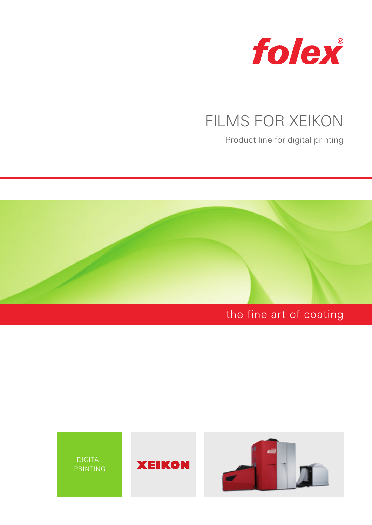

# FILMS FOR XEIKON

Product line for digital printing



## the fine art of coating

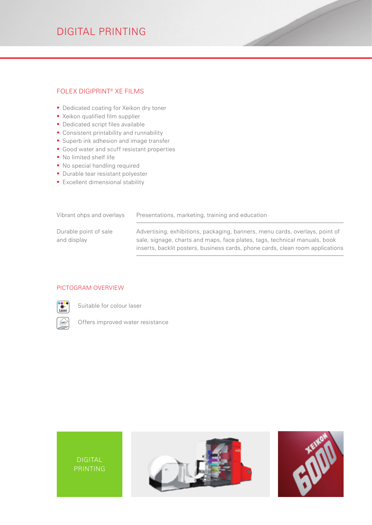### DIGITAL PRINTING

#### FOLEX DIGIPRINT® XE FILMS

- Dedicated coating for Xeikon dry toner
- **EXeikon qualified film supplier**
- **Dedicated script files available**
- **Consistent printability and runnability**
- Superb ink adhesion and image transfer
- Good water and scuff resistant properties
- No limited shelf life
- **No special handling required**
- **Durable tear resistant polyester**
- **Excellent dimensional stability**

| Vibrant ohps and overlays            | Presentations, marketing, training and education                                                                                                                                                                                             |  |
|--------------------------------------|----------------------------------------------------------------------------------------------------------------------------------------------------------------------------------------------------------------------------------------------|--|
| Durable point of sale<br>and display | Advertising, exhibitions, packaging, banners, menu cards, overlays, point of<br>sale, signage, charts and maps, face plates, tags, technical manuals, book<br>inserts, backlit posters, business cards, phone cards, clean room applications |  |
|                                      |                                                                                                                                                                                                                                              |  |

#### PICTOGRAM OVERVIEW



Suitable for colour laser

Offers improved water resistance





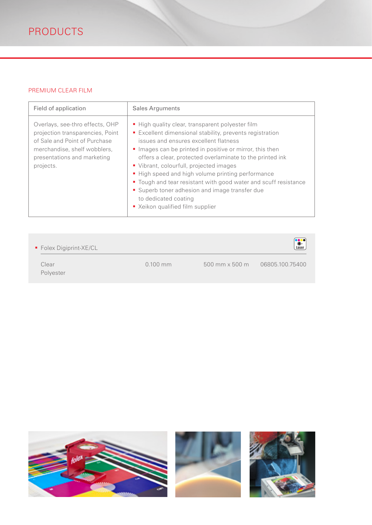#### PREMIUM CLEAR FILM

| Field of application                                                                                                                                                             | <b>Sales Arguments</b>                                                                                                                                                                                                                                                                                                                                                                                                                                                                                                                                  |  |  |
|----------------------------------------------------------------------------------------------------------------------------------------------------------------------------------|---------------------------------------------------------------------------------------------------------------------------------------------------------------------------------------------------------------------------------------------------------------------------------------------------------------------------------------------------------------------------------------------------------------------------------------------------------------------------------------------------------------------------------------------------------|--|--|
| Overlays, see-thro effects, OHP<br>projection transparencies, Point<br>of Sale and Point of Purchase<br>merchandise, shelf wobblers,<br>presentations and marketing<br>projects. | High quality clear, transparent polyester film<br>Excellent dimensional stability, prevents registration<br>issues and ensures excellent flatness<br>Images can be printed in positive or mirror, this then<br>offers a clear, protected overlaminate to the printed ink<br>Vibrant, colourfull, projected images<br>■ High speed and high volume printing performance<br>" Tough and tear resistant with good water and scuff resistance<br>• Superb toner adhesion and image transfer due<br>to dedicated coating<br>■ Xeikon qualified film supplier |  |  |

| • Folex Digiprint-XE/CL |            | <b>Example</b><br>Laser                               |
|-------------------------|------------|-------------------------------------------------------|
| Clear<br>Polyester      | $0.100$ mm | $500 \text{ mm} \times 500 \text{ m}$ 06805.100.75400 |

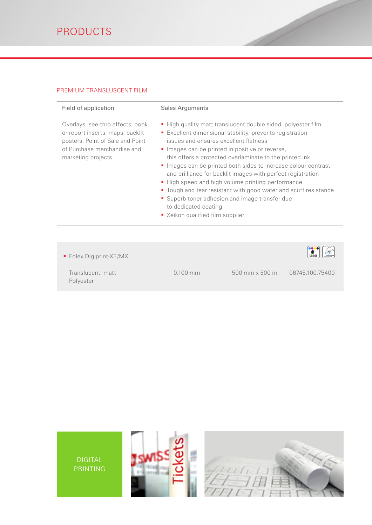#### PREMIUM TRANSLUSCENT FILM

| Field of application                                                                                                                                           | <b>Sales Arguments</b>                                                                                                                                                                                                                                                                                                                                                                                                                                                                                                                                                                                                                           |  |  |
|----------------------------------------------------------------------------------------------------------------------------------------------------------------|--------------------------------------------------------------------------------------------------------------------------------------------------------------------------------------------------------------------------------------------------------------------------------------------------------------------------------------------------------------------------------------------------------------------------------------------------------------------------------------------------------------------------------------------------------------------------------------------------------------------------------------------------|--|--|
| Overlays, see-thro effects, book<br>or report inserts, maps, backlit<br>posters, Point of Sale and Point<br>of Purchase merchandise and<br>marketing projects. | • High quality matt translucent double sided, polyester film<br>Excellent dimensional stability, prevents registration<br>issues and ensures excellent flatness<br>Images can be printed in positive or reverse,<br>this offers a protected overlaminate to the printed ink<br>Images can be printed both sides to increase colour contrast<br>and brilliance for backlit images with perfect registration<br>■ High speed and high volume printing performance<br>• Tough and tear resistant with good water and scuff resistance<br>• Superb toner adhesion and image transfer due<br>to dedicated coating<br>■ Xeikon qualified film supplier |  |  |

| Folex Digiprint-XE/MX          |            |                         | $*$<br>Laser<br>सुमार |
|--------------------------------|------------|-------------------------|-----------------------|
| Translucent, matt<br>Polyester | $0.100$ mm | $500$ mm $\times$ 500 m | 06745.100.75400       |